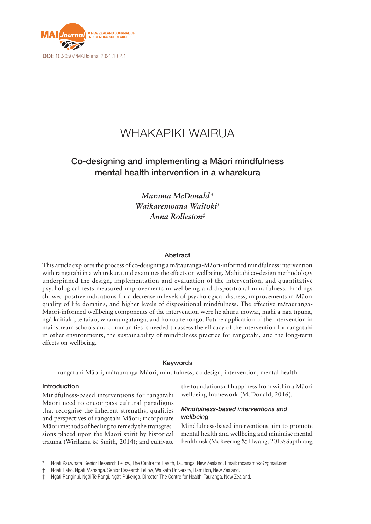

## WHAKAPIKI WAIRUA

### Co-designing and implementing a Māori mindfulness mental health intervention in a wharekura

*Marama McDonald\* Waikaremoana Waitoki† Anna Rolleston‡*

#### Abstract

This article explores the process of co-designing a mātauranga-Māori-informed mindfulness intervention with rangatahi in a wharekura and examines the effects on wellbeing. Mahitahi co-design methodology underpinned the design, implementation and evaluation of the intervention, and quantitative psychological tests measured improvements in wellbeing and dispositional mindfulness. Findings showed positive indications for a decrease in levels of psychological distress, improvements in Māori quality of life domains, and higher levels of dispositional mindfulness. The effective mātauranga-Māori-informed wellbeing components of the intervention were he āhuru mōwai, mahi a ngā tīpuna, ngā kaitiaki, te taiao, whanaungatanga, and hohou te rongo. Future application of the intervention in mainstream schools and communities is needed to assess the efficacy of the intervention for rangatahi in other environments, the sustainability of mindfulness practice for rangatahi, and the long-term effects on wellbeing.

#### Keywords

rangatahi Māori, mātauranga Māori, mindfulness, co-design, intervention, mental health

#### Introduction

Mindfulness-based interventions for rangatahi Māori need to encompass cultural paradigms that recognise the inherent strengths, qualities and perspectives of rangatahi Māori; incorporate Māori methods of healing to remedy the transgressions placed upon the Māori spirit by historical trauma (Wirihana & Smith, 2014); and cultivate the foundations of happiness from within a Māori wellbeing framework (McDonald, 2016).

#### *Mindfulness-based interventions and wellbeing*

Mindfulness-based interventions aim to promote mental health and wellbeing and minimise mental health risk (McKeering & Hwang, 2019; Sapthiang

Ngāti Kauwhata. Senior Research Fellow, The Centre for Health, Tauranga, New Zealand. Email: [moanamoko@gmail.com](mailto:moanamoko@gmail.com)

<sup>†</sup> Ngāti Hako, Ngāti Mahanga. Senior Research Fellow, Waikato University, Hamilton, New Zealand.

<sup>‡</sup> Ngāti Ranginui, Ngāi Te Rangi, Ngāti Pūkenga. Director, The Centre for Health, Tauranga, New Zealand.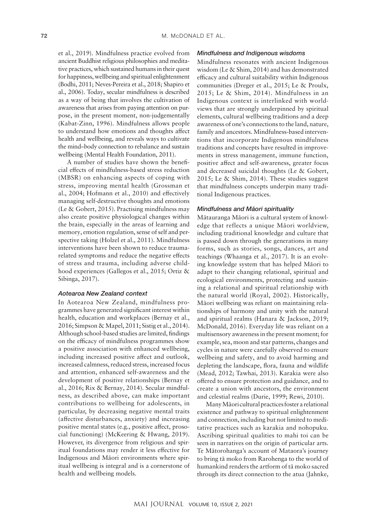et al., 2019). Mindfulness practice evolved from ancient Buddhist religious philosophies and meditative practices, which sustained humans in their quest for happiness, wellbeing and spiritual enlightenment (Bodhi, 2011; Neves-Pereira et al., 2018; Shapiro et al., 2006). Today, secular mindfulness is described as a way of being that involves the cultivation of awareness that arises from paying attention on purpose, in the present moment, non-judgementally (Kabat-Zinn, 1996). Mindfulness allows people to understand how emotions and thoughts affect health and wellbeing, and reveals ways to cultivate the mind–body connection to rebalance and sustain wellbeing (Mental Health Foundation, 2011).

A number of studies have shown the beneficial effects of mindfulness-based stress reduction (MBSR) on enhancing aspects of coping with stress, improving mental health (Grossman et al., 2004; Hofmann et al., 2010) and effectively managing self-destructive thoughts and emotions (Le & Gobert, 2015). Practising mindfulness may also create positive physiological changes within the brain, especially in the areas of learning and memory, emotion regulation, sense of self and perspective taking (Holzel et al., 2011). Mindfulness interventions have been shown to reduce traumarelated symptoms and reduce the negative effects of stress and trauma, including adverse childhood experiences (Gallegos et al., 2015; Ortiz & Sibinga, 2017).

#### *Aotearoa New Zealand context*

In Aotearoa New Zealand, mindfulness programmes have generated significant interest within health, education and workplaces (Bernay et al., 2016; Simpson & Mapel, 2011; Sistig et al., 2014). Although school-based studies are limited, findings on the efficacy of mindfulness programmes show a positive association with enhanced wellbeing, including increased positive affect and outlook, increased calmness, reduced stress, increased focus and attention, enhanced self-awareness and the development of positive relationships (Bernay et al., 2016; Rix & Bernay, 2014). Secular mindfulness, as described above, can make important contributions to wellbeing for adolescents, in particular, by decreasing negative mental traits (affective disturbances, anxiety) and increasing positive mental states (e.g., positive affect, prosocial functioning) (McKeering & Hwang, 2019). However, its divergence from religious and spiritual foundations may render it less effective for Indigenous and Māori environments where spiritual wellbeing is integral and is a cornerstone of health and wellbeing models.

#### *Mindfulness and Indigenous wisdoms*

Mindfulness resonates with ancient Indigenous wisdom (Le & Shim, 2014) and has demonstrated efficacy and cultural suitability within Indigenous communities (Dreger et al., 2015; Le & Proulx, 2015; Le & Shim, 2014). Mindfulness in an Indigenous context is interlinked with worldviews that are strongly underpinned by spiritual elements, cultural wellbeing traditions and a deep awareness of one's connections to the land, nature, family and ancestors. Mindfulness-based interventions that incorporate Indigenous mindfulness traditions and concepts have resulted in improvements in stress management, immune function, positive affect and self-awareness, greater focus and decreased suicidal thoughts (Le & Gobert, 2015; Le & Shim, 2014). These studies suggest that mindfulness concepts underpin many traditional Indigenous practices.

#### *Mindfulness and Māori spirituality*

Mātauranga Māori is a cultural system of knowledge that reflects a unique Māori worldview, including traditional knowledge and culture that is passed down through the generations in many forms, such as stories, songs, dances, art and teachings (Whaanga et al., 2017). It is an evolving knowledge system that has helped Māori to adapt to their changing relational, spiritual and ecological environments, protecting and sustaining a relational and spiritual relationship with the natural world (Royal, 2002). Historically, Māori wellbeing was reliant on maintaining relationships of harmony and unity with the natural and spiritual realms (Hanara & Jackson, 2019; McDonald, 2016). Everyday life was reliant on a multisensory awareness in the present moment; for example, sea, moon and star patterns, changes and cycles in nature were carefully observed to ensure wellbeing and safety, and to avoid harming and depleting the landscape, flora, fauna and wildlife (Mead, 2012; Tawhai, 2013). Karakia were also offered to ensure protection and guidance, and to create a union with ancestors, the environment and celestial realms (Durie, 1999; Rewi, 2010).

Many Māori cultural practices foster a relational existence and pathway to spiritual enlightenment and connection, including but not limited to meditative practices such as karakia and nohopuku. Ascribing spiritual qualities to mahi toi can be seen in narratives on the origin of particular arts. Te Mātorohanga's account of Mataora's journey to bring tā moko from Rarohenga to the world of humankind renders the artform of tā moko sacred through its direct connection to the atua (Jahnke,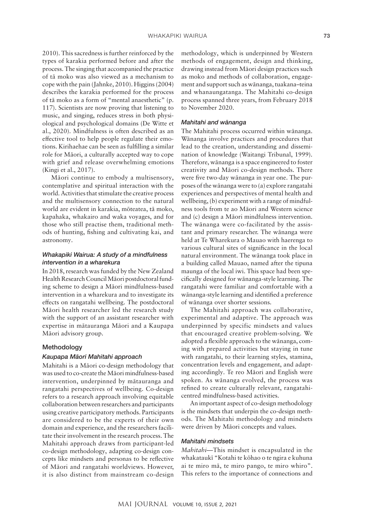2010). This sacredness is further reinforced by the types of karakia performed before and after the process. The singing that accompanied the practice of tā moko was also viewed as a mechanism to cope with the pain (Jahnke, 2010). Higgins (2004) describes the karakia performed for the process of tā moko as a form of "mental anaesthetic" (p. 117). Scientists are now proving that listening to music, and singing, reduces stress in both physiological and psychological domains (De Witte et al., 2020). Mindfulness is often described as an effective tool to help people regulate their emotions. Kirihaehae can be seen as fulfilling a similar role for Māori, a culturally accepted way to cope with grief and release overwhelming emotions (Kingi et al., 2017).

Māori continue to embody a multisensory, contemplative and spiritual interaction with the world. Activities that stimulate the creative process and the multisensory connection to the natural world are evident in karakia, mōteatea, tā moko, kapahaka, whakairo and waka voyages, and for those who still practise them, traditional methods of hunting, fishing and cultivating kai, and astronomy.

#### *Whakapiki Wairua: A study of a mindfulness intervention in a wharekura*

In 2018, research was funded by the New Zealand Health Research Council Māori postdoctoral funding scheme to design a Māori mindfulness-based intervention in a wharekura and to investigate its effects on rangatahi wellbeing. The postdoctoral Māori health researcher led the research study with the support of an assistant researcher with expertise in mātauranga Māori and a Kaupapa Māori advisory group.

#### **Methodology**

#### *Kaupapa Māori Mahitahi approach*

Mahitahi is a Māori co-design methodology that was used to co-create the Māori mindfulness-based intervention, underpinned by mātauranga and rangatahi perspectives of wellbeing. Co-design refers to a research approach involving equitable collaboration between researchers and participants using creative participatory methods. Participants are considered to be the experts of their own domain and experience, and the researchers facilitate their involvement in the research process. The Mahitahi approach draws from participant-led co-design methodology, adapting co-design concepts like mindsets and personas to be reflective of Māori and rangatahi worldviews. However, it is also distinct from mainstream co-design

methodology, which is underpinned by Western methods of engagement, design and thinking, drawing instead from Māori design practices such as moko and methods of collaboration, engagement and support such as wānanga, tuakana–teina and whanaungatanga. The Mahitahi co-design process spanned three years, from February 2018 to November 2020.

#### *Mahitahi and wānanga*

The Mahitahi process occurred within wānanga. Wānanga involve practices and procedures that lead to the creation, understanding and dissemination of knowledge (Waitangi Tribunal, 1999). Therefore, wānanga is a space engineered to foster creativity and Māori co-design methods. There were five two-day wānanga in year one. The purposes of the wānanga were to (a) explore rangatahi experiences and perspectives of mental health and wellbeing, (b) experiment with a range of mindfulness tools from te ao Māori and Western science and (c) design a Māori mindfulness intervention. The wānanga were co-facilitated by the assistant and primary researcher. The wānanga were held at Te Wharekura o Mauao with haerenga to various cultural sites of significance in the local natural environment. The wānanga took place in a building called Mauao, named after the tipuna maunga of the local iwi. This space had been specifically designed for wānanga-style learning. The rangatahi were familiar and comfortable with a wānanga-style learning and identified a preference of wānanga over shorter sessions.

The Mahitahi approach was collaborative, experimental and adaptive. The approach was underpinned by specific mindsets and values that encouraged creative problem-solving. We adopted a flexible approach to the wānanga, coming with prepared activities but staying in tune with rangatahi, to their learning styles, stamina, concentration levels and engagement, and adapting accordingly. Te reo Māori and English were spoken. As wānanga evolved, the process was refined to create culturally relevant, rangatahicentred mindfulness-based activities.

An important aspect of co-design methodology is the mindsets that underpin the co-design methods. The Mahitahi methodology and mindsets were driven by Māori concepts and values.

#### *Mahitahi mindsets*

*Mahitahi*—This mindset is encapsulated in the whakataukī "Kotahi te kōhao o te ngira e kuhuna ai te miro mā, te miro pango, te miro whiro". This refers to the importance of connections and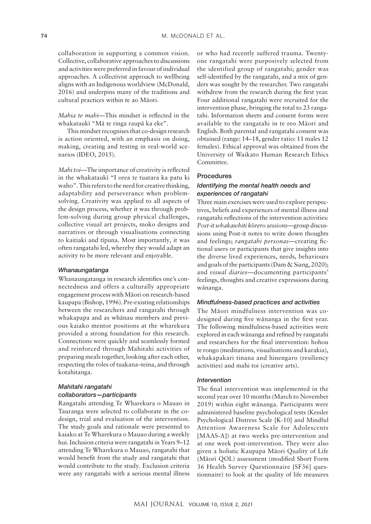collaboration in supporting a common vision. Collective, collaborative approaches to discussions and activities were preferred in favour of individual approaches. A collectivist approach to wellbeing aligns with an Indigenous worldview (McDonald, 2016) and underpins many of the traditions and cultural practices within te ao Māori.

*Mahia te mahi*—This mindset is reflected in the whakataukī "Mā te ringa raupā ka eke".

This mindset recognises that co-design research is action oriented, with an emphasis on doing, making, creating and testing in real-world scenarios (IDEO, 2015).

*Mahi toi*—The importance of creativity is reflected in the whakataukī "I orea te tuatara ka patu ki waho". This refers to the need for creative thinking, adaptability and perseverance when problemsolving. Creativity was applied to all aspects of the design process, whether it was through problem-solving during group physical challenges, collective visual art projects, moko designs and narratives or through visualisations connecting to kaitiaki and tīpuna. Most importantly, it was often rangatahi led, whereby they would adapt an activity to be more relevant and enjoyable.

#### *Whanaungatanga*

Whanaungatanga in research identifies one's connectedness and offers a culturally appropriate engagement process with Māori on research-based kaupapa (Bishop, 1996). Pre-existing relationships between the researchers and rangatahi through whakapapa and as whānau members and previous kaiako mentor positions at the wharekura provided a strong foundation for this research. Connections were quickly and seamlessly formed and reinforced through Mahitahi activities of preparing meals together, looking after each other, respecting the roles of tuakana–teina, and through kotahitanga.

#### *Mahitahi rangatahi collaborators—participants*

Rangatahi attending Te Wharekura o Mauao in Tauranga were selected to collaborate in the codesign, trial and evaluation of the intervention. The study goals and rationale were presented to kaiako at Te Wharekura o Mauao during a weekly hui. Inclusion criteria were rangatahi in Years 9–12 attending Te Wharekura o Mauao, rangatahi that would benefit from the study and rangatahi that would contribute to the study. Exclusion criteria were any rangatahi with a serious mental illness

or who had recently suffered trauma. Twentyone rangatahi were purposively selected from the identified group of rangatahi; gender was self-identified by the rangatahi, and a mix of genders was sought by the researcher. Two rangatahi withdrew from the research during the first year. Four additional rangatahi were recruited for the intervention phase, bringing the total to 23 rangatahi. Information sheets and consent forms were available to the rangatahi in te reo Māori and English. Both parental and rangatahi consent was obtained (range: 14–18, gender ratio: 11 males 12 females). Ethical approval was obtained from the University of Waikato Human Research Ethics Committee.

#### Procedures

#### *Identifying the mental health needs and experiences of rangatahi*

Three main exercises were used to explore perspectives, beliefs and experiences of mental illness and rangatahi reflections of the intervention activities: *Post-it whakawhiti k*ō*rero sessions*—group discussions using Post-it notes to write down thoughts and feelings; *rangatahi personas—*creating fictional users or participants that give insights into the diverse lived experiences, needs, behaviours and goals of the participants (Dam & Siang, 2020); and *visual diaries—*documenting participants' feelings, thoughts and creative expressions during wānanga.

#### *Mindfulness-based practices and activities*

The Māori mindfulness intervention was codesigned during five wānanga in the first year. The following mindfulness-based activities were explored in each wānanga and refined by rangatahi and researchers for the final intervention: hohou te rongo (meditations, visualisations and karakia), whakapakari tinana and hinengaro (resiliency activities) and mahi toi (creative arts).

#### *Intervention*

The final intervention was implemented in the second year over 10 months (March to November 2019) within eight wānanga. Participants were administered baseline psychological tests (Kessler Psychological Distress Scale [K-10] and Mindful Attention Awareness Scale for Adolescents [MAAS-A]) at two weeks pre-intervention and at one week post-intervention. They were also given a holistic Kaupapa Māori Quality of Life (Māori QOL) assessment (modified Short Form 36 Health Survey Questionnaire [SF36] questionnaire) to look at the quality of life measures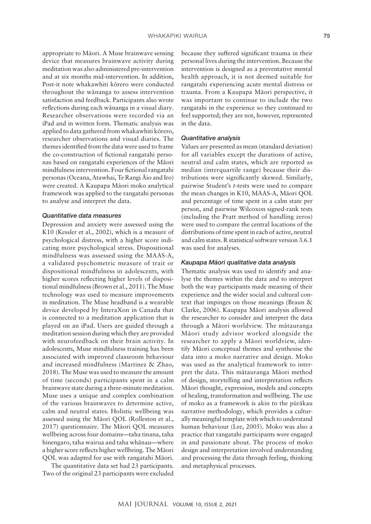appropriate to Māori. A Muse brainwave sensing device that measures brainwave activity during meditation was also administered pre-intervention and at six months mid-intervention. In addition, Post-it note whakawhiti kōrero were conducted throughout the wānanga to assess intervention satisfaction and feedback. Participants also wrote reflections during each wānanga in a visual diary. Researcher observations were recorded via an iPad and in written form. Thematic analysis was applied to data gathered from whakawhiti kōrero, researcher observations and visual diaries. The themes identified from the data were used to frame the co-construction of fictional rangatahi personas based on rangatahi experiences of the Māori mindfulness intervention. Four fictional rangatahi personas (Oceana, Atawhai, Te Rangi Āio and Iro) were created. A Kaupapa Māori moko analytical framework was applied to the rangatahi personas to analyse and interpret the data.

#### *Quantitative data measures*

Depression and anxiety were assessed using the K10 (Kessler et al., 2002), which is a measure of psychological distress, with a higher score indicating more psychological stress. Dispositional mindfulness was assessed using the MAAS-A, a validated psychometric measure of trait or dispositional mindfulness in adolescents, with higher scores reflecting higher levels of dispositional mindfulness (Brown et al., 2011). The Muse technology was used to measure improvements in meditation. The Muse headband is a wearable device developed by InteraXon in Canada that is connected to a meditation application that is played on an iPad. Users are guided through a meditation session during which they are provided with neurofeedback on their brain activity. In adolescents, Muse mindfulness training has been associated with improved classroom behaviour and increased mindfulness (Martinez & Zhao, 2018). The Muse was used to measure the amount of time (seconds) participants spent in a calm brainwave state during a three-minute meditation. Muse uses a unique and complex combination of the various brainwaves to determine active, calm and neutral states. Holistic wellbeing was assessed using the Māori QOL (Rolleston et al., 2017) questionnaire. The Māori QOL measures wellbeing across four domains—taha tinana, taha hinengaro, taha wairua and taha whānau—where a higher score reflects higher wellbeing. The Māori QOL was adapted for use with rangatahi Māori.

The quantitative data set had 23 participants. Two of the original 23 participants were excluded

because they suffered significant trauma in their personal lives during the intervention. Because the intervention is designed as a preventative mental health approach, it is not deemed suitable for rangatahi experiencing acute mental distress or trauma. From a Kaupapa Māori perspective, it was important to continue to include the two rangatahi in the experience so they continued to feel supported; they are not, however, represented in the data.

#### *Quantitative analysis*

Values are presented as mean (standard deviation) for all variables except the durations of active, neutral and calm states, which are reported as median (interquartile range) because their distributions were significantly skewed. Similarly, pairwise Student's *t*-tests were used to compare the mean changes in K10, MAAS-A, Māori QOL and percentage of time spent in a calm state per person, and pairwise Wilcoxon signed-rank tests (including the Pratt method of handling zeros) were used to compare the central locations of the distributions of time spent in each of active, neutral and calm states. R statistical software version 3.6.1 was used for analyses.

#### *Kaupapa Māori qualitative data analysis*

Thematic analysis was used to identify and analyse the themes within the data and to interpret both the way participants made meaning of their experience and the wider social and cultural context that impinges on those meanings (Braun & Clarke, 2006). Kaupapa Māori analysis allowed the researcher to consider and interpret the data through a Māori worldview. The mātauranga Māori study advisor worked alongside the researcher to apply a Māori worldview, identify Māori conceptual themes and synthesise the data into a moko narrative and design. Moko was used as the analytical framework to interpret the data. This mātauranga Māori method of design, storytelling and interpretation reflects Māori thought, expression, models and concepts of healing, transformation and wellbeing. The use of moko as a framework is akin to the pūrākau narrative methodology, which provides a culturally meaningful template with which to understand human behaviour (Lee, 2005). Moko was also a practice that rangatahi participants were engaged in and passionate about. The process of moko design and interpretation involved understanding and processing the data through feeling, thinking and metaphysical processes.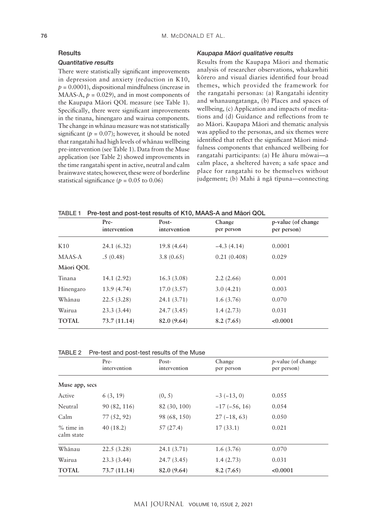#### **Results**

#### *Quantitative results*

There were statistically significant improvements in depression and anxiety (reduction in K10,  $p = 0.0001$ ), dispositional mindfulness (increase in MAAS-A,  $p = 0.029$ ), and in most components of the Kaupapa Māori QOL measure (see Table 1). Specifically, there were significant improvements in the tinana, hinengaro and wairua components. The change in whānau measure was not statistically significant ( $p = 0.07$ ); however, it should be noted that rangatahi had high levels of whānau wellbeing pre-intervention (see Table 1). Data from the Muse application (see Table 2) showed improvements in the time rangatahi spent in active, neutral and calm brainwave states; however, these were of borderline statistical significance ( $p = 0.05$  to 0.06)

#### *Kaupapa Māori qualitative results*

Results from the Kaupapa Māori and thematic analysis of researcher observations, whakawhiti kōrero and visual diaries identified four broad themes, which provided the framework for the rangatahi personas: (a) Rangatahi identity and whanaungatanga, (b) Places and spaces of wellbeing, (c) Application and impacts of meditations and (d) Guidance and reflections from te ao Māori. Kaupapa Māori and thematic analysis was applied to the personas, and six themes were identified that reflect the significant Māori mindfulness components that enhanced wellbeing for rangatahi participants: (a) He āhuru mōwai—a calm place, a sheltered haven; a safe space and place for rangatahi to be themselves without judgement; (b) Mahi ā ngā tīpuna—connecting

|  | TABLE 1 Pre-test and post-test results of K10, MAAS-A and Māori QOL |  |  |  |  |  |
|--|---------------------------------------------------------------------|--|--|--|--|--|
|--|---------------------------------------------------------------------|--|--|--|--|--|

|                 | Pre-<br>intervention | Post-<br>intervention | Change<br>per person | p-value (of change<br>per person) |
|-----------------|----------------------|-----------------------|----------------------|-----------------------------------|
| K <sub>10</sub> | 24.1(6.32)           | 19.8 (4.64)           | $-4.3(4.14)$         | 0.0001                            |
| MAAS-A          | .5(0.48)             | 3.8(0.65)             | 0.21(0.408)          | 0.029                             |
| Māori QOL       |                      |                       |                      |                                   |
| Tinana          | 14.1(2.92)           | 16.3(3.08)            | 2.2(2.66)            | 0.001                             |
| Hinengaro       | 13.9 (4.74)          | 17.0(3.57)            | 3.0(4.21)            | 0.003                             |
| Whānau          | 22.5(3.28)           | 24.1 (3.71)           | 1.6(3.76)            | 0.070                             |
| Wairua          | 23.3(3.44)           | 24.7(3.45)            | 1.4(2.73)            | 0.031                             |
| <b>TOTAL</b>    | 73.7(11.14)          | 82.0 (9.64)           | 8.2(7.65)            | < 0.0001                          |

| TABLE 2 | Pre-test and post-test results of the Muse |
|---------|--------------------------------------------|
|---------|--------------------------------------------|

|                           | Pre-<br>intervention | Post-<br>intervention | Change<br>per person | $p$ -value (of change<br>per person) |
|---------------------------|----------------------|-----------------------|----------------------|--------------------------------------|
| Muse app, secs            |                      |                       |                      |                                      |
| Active                    | 6(3, 19)             | (0, 5)                | $-3(-13, 0)$         | 0.055                                |
| Neutral                   | 90 (82, 116)         | 82 (30, 100)          | $-17(-56, 16)$       | 0.054                                |
| Calm                      | 77(52, 92)           | 98 (68, 150)          | $27(-18, 63)$        | 0.050                                |
| $%$ time in<br>calm state | 40(18.2)             | 57(27.4)              | 17(33.1)             | 0.021                                |
| Whānau                    | 22.5(3.28)           | 24.1 (3.71)           | 1.6(3.76)            | 0.070                                |
| Wairua                    | 23.3(3.44)           | 24.7(3.45)            | 1.4(2.73)            | 0.031                                |
| <b>TOTAL</b>              | 73.7(11.14)          | 82.0 (9.64)           | 8.2(7.65)            | < 0.0001                             |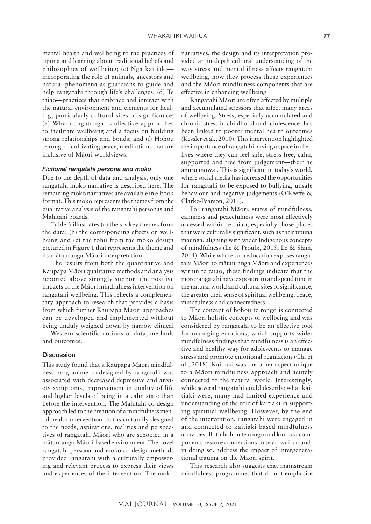mental health and wellbeing to the practices of tīpuna and learning about traditional beliefs and philosophies of wellbeing; (c) Ngā kaitiaki incorporating the role of animals, ancestors and natural phenomena as guardians to guide and help rangatahi through life's challenges; (d) Te taiao—practices that embrace and interact with the natural environment and elements for healing, particularly cultural sites of significance; (e) Whanaungatanga—collective approaches to facilitate wellbeing and a focus on building strong relationships and bonds; and (f) Hohou te rongo—cultivating peace, meditations that are inclusive of Māori worldviews.

#### *Fictional rangatahi persona and moko*

Due to the depth of data and analysis, only one rangatahi moko narrative is described here. The remaining moko narratives are available in e-book format. This moko represents the themes from the qualitative analysis of the rangatahi personas and Mahitahi boards.

Table 3 illustrates (a) the six key themes from the data, (b) the corresponding effects on wellbeing and (c) the tohu from the moko design pictured in Figure 1 that represents the theme and its mātauranga Māori interpretation.

The results from both the quantitative and Kaupapa Māori qualitative methods and analysis reported above strongly support the positive impacts of the Māori mindfulness intervention on rangatahi wellbeing. This reflects a complementary approach to research that provides a basis from which further Kaupapa Māori approaches can be developed and implemented without being unduly weighed down by narrow clinical or Western scientific notions of data, methods and outcomes.

#### **Discussion**

This study found that a Kaupapa Māori mindfulness programme co-designed by rangatahi was associated with decreased depressive and anxiety symptoms, improvement in quality of life and higher levels of being in a calm state than before the intervention. The Mahitahi co-design approach led to the creation of a mindfulness mental health intervention that is culturally designed to the needs, aspirations, realities and perspectives of rangatahi Māori who are schooled in a mātauranga-Māori-based environment. The novel rangatahi persona and moko co-design methods provided rangatahi with a culturally empowering and relevant process to express their views and experiences of the intervention. The moko narratives, the design and its interpretation provided an in-depth cultural understanding of the way stress and mental illness affects rangatahi wellbeing, how they process those experiences and the Māori mindfulness components that are effective in enhancing wellbeing.

Rangatahi Māori are often affected by multiple and accumulated stressors that affect many areas of wellbeing. Stress, especially accumulated and chronic stress in childhood and adolescence, has been linked to poorer mental health outcomes (Kessler et al., 2010). This intervention highlighted the importance of rangatahi having a space in their lives where they can feel safe, stress free, calm, supported and free from judgement—their he āhuru mōwai*.* This is significant in today's world, where social media has increased the opportunities for rangatahi to be exposed to bullying, unsafe behaviour and negative judgements (O'Keeffe & Clarke-Pearson, 2011).

For rangatahi Māori, states of mindfulness, calmness and peacefulness were most effectively accessed within te taiao, especially those places that were culturally significant, such as their tipuna maunga, aligning with wider Indigenous concepts of mindfulness (Le & Proulx, 2015; Le & Shim, 2014). While wharekura education exposes rangatahi Māori to mātauranga Māori and experiences within te taiao, these findings indicate that the more rangatahi have exposure to and spend time in the natural world and cultural sites of significance, the greater their sense of spiritual wellbeing, peace, mindfulness and connectedness.

The concept of hohou te rongo is connected to Māori holistic concepts of wellbeing and was considered by rangatahi to be an effective tool for managing emotions, which supports wider mindfulness findings that mindfulness is an effective and healthy way for adolescents to manage stress and promote emotional regulation (Chi et al., 2018). Kaitiaki was the other aspect unique to a Māori mindfulness approach and acutely connected to the natural world. Interestingly, while several rangatahi could describe what kaitiaki were, many had limited experience and understanding of the role of kaitiaki in supporting spiritual wellbeing. However, by the end of the intervention, rangatahi were engaged in and connected to kaitiaki-based mindfulness activities. Both hohou te rongo and kaitiaki components restore connections to te ao wairua and, in doing so, address the impact of intergenerational trauma on the Māori spirit.

This research also suggests that mainstream mindfulness programmes that do not emphasise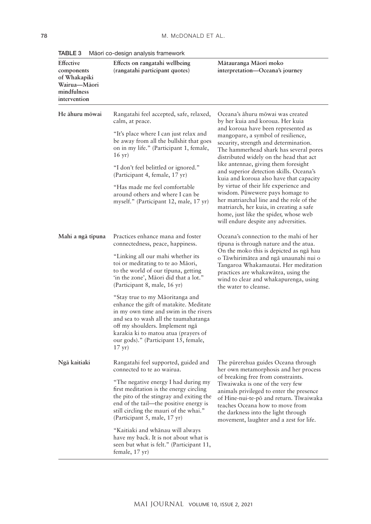| Effective<br>components<br>of Whakapiki<br>Wairua-Māori<br>mindfulness<br>intervention | Effects on rangatahi wellbeing<br>(rangatahi participant quotes)                                                                                                                                                                                                                                 | Mātauranga Māori moko<br>interpretation-Oceana's journey                                                                                                                                                                                                                           |
|----------------------------------------------------------------------------------------|--------------------------------------------------------------------------------------------------------------------------------------------------------------------------------------------------------------------------------------------------------------------------------------------------|------------------------------------------------------------------------------------------------------------------------------------------------------------------------------------------------------------------------------------------------------------------------------------|
| He āhuru mōwai                                                                         | Rangatahi feel accepted, safe, relaxed,<br>calm, at peace.                                                                                                                                                                                                                                       | Oceana's āhuru mōwai was created<br>by her kuia and koroua. Her kuia                                                                                                                                                                                                               |
|                                                                                        | "It's place where I can just relax and<br>be away from all the bullshit that goes<br>on in my life." (Participant 1, female,<br>$16 \text{ yr}$ )                                                                                                                                                | and koroua have been represented as<br>mangopare, a symbol of resilience,<br>security, strength and determination.<br>The hammerhead shark has several pores<br>distributed widely on the head that act                                                                            |
|                                                                                        | "I don't feel belittled or ignored."<br>(Participant 4, female, 17 yr)                                                                                                                                                                                                                           | like antennae, giving them foresight<br>and superior detection skills. Oceana's<br>kuia and koroua also have that capacity                                                                                                                                                         |
|                                                                                        | "Has made me feel comfortable<br>around others and where I can be<br>myself." (Participant 12, male, 17 yr)                                                                                                                                                                                      | by virtue of their life experience and<br>wisdom. Pūwewere pays homage to<br>her matriarchal line and the role of the<br>matriarch, her kuia, in creating a safe<br>home, just like the spider, whose web<br>will endure despite any adversities.                                  |
| Mahi a ngā tīpuna                                                                      | Practices enhance mana and foster<br>connectedness, peace, happiness.                                                                                                                                                                                                                            | Oceana's connection to the mahi of her<br>tīpuna is through nature and the atua.                                                                                                                                                                                                   |
|                                                                                        | "Linking all our mahi whether its<br>toi or meditating to te ao Māori,<br>to the world of our tipuna, getting<br>'in the zone', Māori did that a lot."<br>(Participant 8, male, 16 yr)                                                                                                           | On the moko this is depicted as ngā hau<br>o Tāwhirimātea and ngā unaunahi nui o<br>Tangaroa Whakamautai. Her meditation<br>practices are whakawātea, using the<br>wind to clear and whakapurenga, using<br>the water to cleanse.                                                  |
|                                                                                        | "Stay true to my Māoritanga and<br>enhance the gift of matakite. Meditate<br>in my own time and swim in the rivers<br>and sea to wash all the taumahatanga<br>off my shoulders. Implement ngā<br>karakia ki to matou atua (prayers of<br>our gods)." (Participant 15, female,<br>$17 \text{ yr}$ |                                                                                                                                                                                                                                                                                    |
| Ngā kaitiaki                                                                           | Rangatahi feel supported, guided and<br>connected to te ao wairua.                                                                                                                                                                                                                               | The pūrerehua guides Oceana through<br>her own metamorphosis and her process                                                                                                                                                                                                       |
|                                                                                        | "The negative energy I had during my<br>first meditation is the energy circling<br>the pito of the stingray and exiting the<br>end of the tail-the positive energy is<br>still circling the mauri of the whai."<br>(Participant 5, male, 17 yr)                                                  | of breaking free from constraints.<br>Tiwaiwaka is one of the very few<br>animals privileged to enter the presence<br>of Hine-nui-te-pō and return. Tīwaiwaka<br>teaches Oceana how to move from<br>the darkness into the light through<br>movement, laughter and a zest for life. |
|                                                                                        | "Kaitiaki and whānau will always<br>have my back. It is not about what is<br>seen but what is felt." (Participant 11,<br>female, 17 yr)                                                                                                                                                          |                                                                                                                                                                                                                                                                                    |

TABLE 3 Māori co-design analysis framework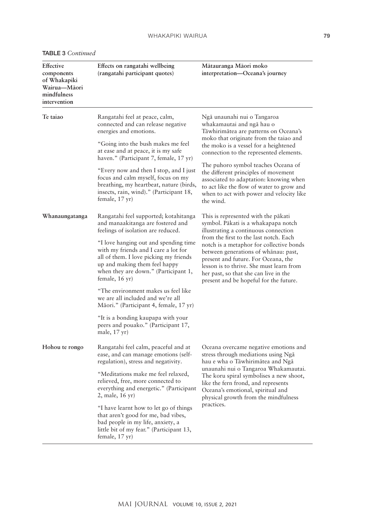|  |  |  |  | TABLE 3 Continued |
|--|--|--|--|-------------------|
|--|--|--|--|-------------------|

| Effective<br>components<br>of Whakapiki<br>Wairua-Māori<br>mindfulness<br>intervention | Effects on rangatahi wellbeing<br>(rangatahi participant quotes)                                                                                                                                                                                                                                                                                                                                                               | Mātauranga Māori moko<br>interpretation-Oceana's journey                                                                                                                                                                                                                                                                                                                                                                                                       |
|----------------------------------------------------------------------------------------|--------------------------------------------------------------------------------------------------------------------------------------------------------------------------------------------------------------------------------------------------------------------------------------------------------------------------------------------------------------------------------------------------------------------------------|----------------------------------------------------------------------------------------------------------------------------------------------------------------------------------------------------------------------------------------------------------------------------------------------------------------------------------------------------------------------------------------------------------------------------------------------------------------|
| Te taiao                                                                               | Rangatahi feel at peace, calm,<br>connected and can release negative<br>energies and emotions.<br>"Going into the bush makes me feel<br>at ease and at peace, it is my safe<br>haven." (Participant 7, female, 17 yr)<br>"Every now and then I stop, and I just<br>focus and calm myself, focus on my<br>breathing, my heartbeat, nature (birds,<br>insects, rain, wind)." (Participant 18,<br>female, 17 yr)                  | Ngā unaunahi nui o Tangaroa<br>whakamautai and ngā hau o<br>Tāwhirimātea are patterns on Oceana's<br>moko that originate from the taiao and<br>the moko is a vessel for a heightened<br>connection to the represented elements.<br>The puhoro symbol teaches Oceana of<br>the different principles of movement<br>associated to adaptation: knowing when<br>to act like the flow of water to grow and<br>when to act with power and velocity like<br>the wind. |
| Whanaungatanga                                                                         | Rangatahi feel supported; kotahitanga<br>and manaakitanga are fostered and<br>feelings of isolation are reduced.<br>"I love hanging out and spending time<br>with my friends and I care a lot for<br>all of them. I love picking my friends<br>up and making them feel happy<br>when they are down." (Participant 1,<br>female, 16 yr)<br>"The environment makes us feel like                                                  | This is represented with the pākati<br>symbol. Pākati is a whakapapa notch<br>illustrating a continuous connection<br>from the first to the last notch. Each<br>notch is a metaphor for collective bonds<br>between generations of whānau: past,<br>present and future. For Oceana, the<br>lesson is to thrive. She must learn from<br>her past, so that she can live in the<br>present and be hopeful for the future.                                         |
|                                                                                        | we are all included and we're all<br>Māori." (Participant 4, female, 17 yr)<br>"It is a bonding kaupapa with your<br>peers and pouako." (Participant 17,<br>male, 17 yr)                                                                                                                                                                                                                                                       |                                                                                                                                                                                                                                                                                                                                                                                                                                                                |
| Hohou te rongo                                                                         | Rangatahi feel calm, peaceful and at<br>ease, and can manage emotions (self-<br>regulation), stress and negativity.<br>"Meditations make me feel relaxed,<br>relieved, free, more connected to<br>everything and energetic." (Participant<br>2, male, 16 yr)<br>"I have learnt how to let go of things<br>that aren't good for me, bad vibes,<br>bad people in my life, anxiety, a<br>little bit of my fear." (Participant 13, | Oceana overcame negative emotions and<br>stress through mediations using Nga<br>hau e wha o Tāwhirimātea and Ngā<br>unaunahi nui o Tangaroa Whakamautai.<br>The koru spiral symbolises a new shoot,<br>like the fern frond, and represents<br>Oceana's emotional, spiritual and<br>physical growth from the mindfulness<br>practices.                                                                                                                          |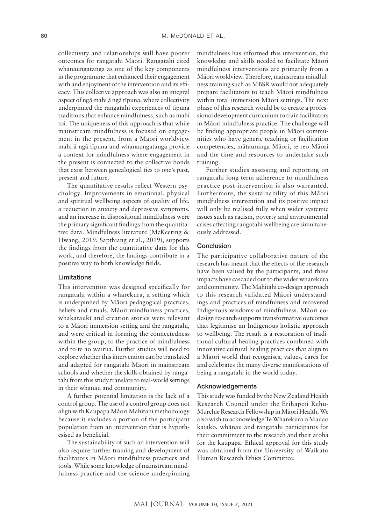collectivity and relationships will have poorer outcomes for rangatahi Māori. Rangatahi cited whanaungatanga as one of the key components in the programme that enhanced their engagement with and enjoyment of the intervention and its efficacy. This collective approach was also an integral aspect of ngā mahi ā ngā tīpuna*,* where collectivity underpinned the rangatahi experiences of tīpuna traditions that enhance mindfulness, such as mahi toi. The uniqueness of this approach is that while mainstream mindfulness is focused on engagement in the present, from a Māori worldview mahi ā ngā tīpuna and whanaungatanga provide a context for mindfulness where engagement in the present is connected to the collective bonds that exist between genealogical ties to one's past, present and future.

The quantitative results reflect Western psychology. Improvements in emotional, physical and spiritual wellbeing aspects of quality of life, a reduction in anxiety and depressive symptoms, and an increase in dispositional mindfulness were the primary significant findings from the quantitative data. Mindfulness literature (McKeering & Hwang, 2019; Sapthiang et al., 2019), supports the findings from the quantitative data for this work, and therefore, the findings contribute in a positive way to both knowledge fields.

#### Limitations

This intervention was designed specifically for rangatahi within a wharekura, a setting which is underpinned by Māori pedagogical practices, beliefs and rituals. Māori mindfulness practices, whakataukī and creation stories were relevant to a Māori immersion setting and the rangatahi, and were critical in forming the connectedness within the group, to the practice of mindfulness and to te ao wairua. Further studies will need to explore whether this intervention can be translated and adapted for rangatahi Māori in mainstream schools and whether the skills obtained by rangatahi from this study translate to real-world settings in their whānau and community.

A further potential limitation is the lack of a control group. The use of a control group does not align with Kaupapa Māori Mahitahi methodology because it excludes a portion of the participant population from an intervention that is hypothesised as beneficial.

The sustainability of such an intervention will also require further training and development of facilitators in Māori mindfulness practices and tools. While some knowledge of mainstream mindfulness practice and the science underpinning mindfulness has informed this intervention, the knowledge and skills needed to facilitate Māori mindfulness interventions are primarily from a Māori worldview. Therefore, mainstream mindfulness training such as MBSR would not adequately prepare facilitators to teach Māori mindfulness within total immersion Māori settings. The next phase of this research would be to create a professional development curriculum to train facilitators in Māori mindfulness practice. The challenge will be finding appropriate people in Māori communities who have generic teaching or facilitation competencies, mātauranga Māori, te reo Māori and the time and resources to undertake such training.

Further studies assessing and reporting on rangatahi long-term adherence to mindfulness practice post-intervention is also warranted. Furthermore, the sustainability of this Māori mindfulness intervention and its positive impact will only be realised fully when wider systemic issues such as racism, poverty and environmental crises affecting rangatahi wellbeing are simultaneously addressed.

#### **Conclusion**

The participative collaborative nature of the research has meant that the effects of the research have been valued by the participants, and these impacts have cascaded out to the wider wharekura and community. The Mahitahi co-design approach to this research validated Māori understandings and practices of mindfulness and recovered Indigenous wisdoms of mindfulness. Māori codesign research supports transformative outcomes that legitimise an Indigenous holistic approach to wellbeing. The result is a restoration of traditional cultural healing practices combined with innovative cultural healing practices that align to a Māori world that recognises, values, cares for and celebrates the many diverse manifestations of being a rangatahi in the world today.

#### Acknowledgements

This study was funded by the New Zealand Health Research Council under the Erihapeti Rehu-Murchie Research Fellowship in Māori Health. We also wish to acknowledge Te Wharekura o Mauao kaiako, whānau and rangatahi participants for their commitment to the research and their aroha for the kaupapa. Ethical approval for this study was obtained from the University of Waikato Human Research Ethics Committee.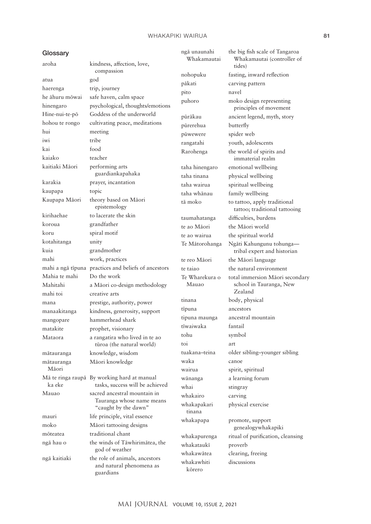#### WHAKAPIKI WAIRUA **81**

#### **Glossary**

atua god haerenga trip, journey he āhuru mōwai safe haven, calm space hui meeting iwi tribe kai food kaiako teacher kaitiaki Māori performing arts karakia prayer, incantation kaupapa topic Kaupapa Māori theory based on Māori kirihaehae to lacerate the skin koroua grandfather koru spiral motif kotahitanga unity kuia grandmother mahi work, practices Mahia te mahi Do the work mahi toi creative arts mangopare hammerhead shark matakite prophet, visionary mātauranga knowledge, wisdom mātauranga Māori ka eke moko Māori tattooing designs mōteatea traditional chant guardians

# aroha kindness, affection, love, compassion hinengaro psychological, thoughts/emotions Hine-nui-te-pō Goddess of the underworld hohou te rongo cultivating peace, meditations guardiankapahaka epistemology mahi a ngā tīpuna practices and beliefs of ancestors Mahitahi a Māori co-design methodology mana prestige, authority, power manaakitanga kindness, generosity, support Mataora a rangatira who lived in te ao tūroa (the natural world) Māori knowledge Mā te ringa raupā By working hard at manual tasks, success will be achieved Mauao sacred ancestral mountain in Tauranga whose name means "caught by the dawn" mauri life principle, vital essence ngā hau o the winds of Tāwhirimātea, the god of weather ngā kaitiaki the role of animals, ancestors and natural phenomena as

ngā unaunahi Whakamautai pākati carving pattern pito navel pūrerehua butterfly pūwewere spider web rangatahi youth, adolescents taha hinengaro emotional wellbeing taha tinana physical wellbeing taha wairua spiritual wellbeing taha whānau family wellbeing taumahatanga difficulties, burdens te ao Māori the Māori world te ao wairua the spiritual world te reo Māori the Māori language Te Wharekura o Mauao tinana body, physical tīpuna ancestors tipuna maunga ancestral mountain tīwaiwaka fantail tohu symbol toi art waka canoe wairua spirit, spiritual wānanga a learning forum whai stingray whakairo carving whakapakari tinana whakapapa promote, support whakataukī proverb whakawātea clearing, freeing whakawhiti kōrero

the big fish scale of Tangaroa Whakamautai (controller of tides) nohopuku fasting, inward reflection puhoro moko design representing principles of movement pūrākau ancient legend, myth, story Rarohenga the world of spirits and immaterial realm tā moko to tattoo, apply traditional tattoo; traditional tattooing Te Mātorohanga Ngāti Kahungunu tohunga tribal expert and historian te taiao the natural environment total immersion Māori secondary school in Tauranga, New Zealand tuakana–teina older sibling–younger sibling physical exercise genealogywhakapiki whakapurenga ritual of purification, cleansing discussions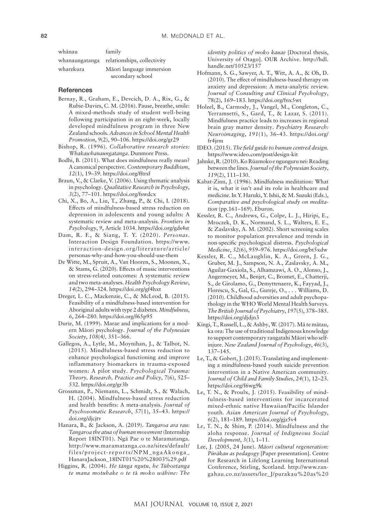| whānau         | family                      |
|----------------|-----------------------------|
| whanaungatanga | relationships, collectivity |
| wharekura      | Māori language immersion    |
|                | secondary school            |

#### **References**

- Bernay, R., Graham, E., Devcich, D. A., Rix, G., & Rubie-Davies, C. M. (2016). Pause, breathe, smile: A mixed-methods study of student well-being following participation in an eight-week, locally developed mindfulness program in three New Zealand schools. *Advances in School Mental Health Promotion*, *9*(2), 90–106.<https://doi.org/gr29>
- Bishop, R. (1996). *Collaborative research stories: Whakawhanaungatanga*. Dunmore Press.
- Bodhi, B. (2011). What does mindfulness really mean? A canonical perspective. *Contemporary Buddhism*, *12*(1), 19–39.<https://doi.org/fftrsf>
- Braun, V., & Clarke, V. (2006). Using thematic analysis in psychology. *Qualitative Research in Psychology*, *3*(2), 77–101.<https://doi.org/fswdcx>
- Chi, X., Bo, A., Liu, T., Zhang, P., & Chi, I. (2018). Effects of mindfulness-based stress reduction on depression in adolescents and young adults: A systematic review and meta-analysis. *Frontiers in Psychology*, *9*, Article 1034. <https://doi.org/gds4st>
- Dam, R. F., & Siang, T. Y. (2020). *Personas*. Interaction Design Foundation. [https://www.](https://www.interaction-design.org/literature/article/personas-why-and-how-you-should-use-them) [interaction-design.org/literature/article/](https://www.interaction-design.org/literature/article/personas-why-and-how-you-should-use-them) [personas-why-and-how-you-should-use-them](https://www.interaction-design.org/literature/article/personas-why-and-how-you-should-use-them)
- De Witte, M., Spruit, A., Van Hooren, S., Moonen, X., & Stams, G. (2020). Effects of music interventions on stress-related outcomes: A systematic review and two meta-analyses. *Health Psychology Review*, *14*(2), 294–324.<https://doi.org/gf4hxt>
- Dreger, L. C., Mackenzie, C., & McLeod, B. (2015). Feasibility of a mindfulness-based intervention for Aboriginal adults with type 2 diabetes. *Mindfulness*, *6*, 264–280.<https://doi.org/f65p95>
- Durie, M. (1999). Marae and implications for a modern Māori psychology. *Journal of the Polynesian Society*, *108*(4*),* 351–366.
- Gallegos, A., Lytle, M., Moynihan, J., & Talbot, N. (2015). Mindfulness-based stress reduction to enhance psychological functioning and improve inflammatory biomarkers in trauma-exposed women: A pilot study. *Psychological Trauma: Theory, Research, Practice and Policy*, *7*(6), 525– 532.<https://doi.org/gr3b>
- Grossman, P., Niemann, L., Schmidt, S., & Walach, H. (2004). Mindfulness-based stress reduction and health benefits: A meta-analysis. *Journal of Psychosomatic Research*, *57*(1), 35–43. [https://](https://doi.org/djcjtv) [doi.org/djcjtv](https://doi.org/djcjtv)
- Hanara, B., & Jackson, A. (2019). *Tangaroa ara rau: Tangaroa the atua of human movement* (Internship Report 18INT01). Ngā Pae o te Maramatanga. [http://www.maramatanga.co.nz/sites/default/](http://www.maramatanga.co.nz/sites/default/files/project-reports/NPM_ngaAkonga_HanaraJackson_18INT01%20%28003%29.pdf) [files/project-reports/NPM\\_ngaAkonga\\_](http://www.maramatanga.co.nz/sites/default/files/project-reports/NPM_ngaAkonga_HanaraJackson_18INT01%20%28003%29.pdf) [HanaraJackson\\_18INT01%20%28003%29.pdf](http://www.maramatanga.co.nz/sites/default/files/project-reports/NPM_ngaAkonga_HanaraJackson_18INT01%20%28003%29.pdf)
- Higgins, R. (2004). *He tānga ngutu, he Tūhoetanga te mana motuhake o te t*ā *moko wāhine: The*

*identity politics of moko kauae* [Doctoral thesis, University of Otago]. OUR Archive. [http://hdl.](http://hdl.handle.net/10523/157) [handle.net/10523/157](http://hdl.handle.net/10523/157)

- Hofmann, S. G., Sawyer, A. T., Witt, A. A., & Oh, D. (2010). The effect of mindfulness-based therapy on anxiety and depression: A meta-analytic review. *Journal of Consulting and Clinical Psychology*, 78(2), 169–183.<https://doi.org/fnx5wt>
- Holzel, B., Carmody, J., Vangel, M., Congleton, C., Yerramsetti, S., Gard, T., & Lazar, S. (2011). Mindfulness practice leads to increases in regional brain gray matter density. *Psychiatry Research: Neuroimaging*, *191*(1), 36–43. [https://doi.org/](https://doi.org/fr4jrm) [fr4jrm](https://doi.org/fr4jrm)
- IDEO. (2015). *The field guide to human centred design.* <https://www.ideo.com/post/design-kit>
- Jahnke, R. (2010). Ko Rūamoko e ngunguru nei: Reading between the lines. *Journal of the Polynesian Society*, *119*(2), 111–130.
- Kabat-Zinn, J. (1996). Mindfulness meditation: What it is, what it isn't and its role in healthcare and medicine. In Y. Haruki, Y. Ishii, & M. Suzuki (Eds.), *Comparative and psychological study on meditation* (pp.161–169). Eburon.
- Kessler, R. C., Andrews, G., Colpe, L. J., Hiripi, E., Mroczek, D. K., Normand, S. L., Walters, E. E., & Zaslavsky, A. M. (2002). Short screening scales to monitor population prevalence and trends in non-specific psychological distress. *Psychological Medicine*, *32*(6), 959–976.<https://doi.org/bt5xdw>
- Kessler, R. C., McLaughlin, K. A., Green, J. G., Gruber, M. J., Sampson, N. A., Zaslavsky, A. M., Aguilar-Gaxiola, S., Alhamzawi, A. O., Alonso, J., Angermeyer, M., Benjet, C., Bromet, E., Chatterji, S., de Girolamo, G., Demyttenaere, K., Fayyad, J., Florescu, S., Gal, G., Gureje, O., . . . Williams, D. (2010). Childhood adversities and adult psychopathology in the WHO World Mental Health Surveys. *The British Journal of Psychiatry*, *197*(5), 378–385. <https://doi.org/djdjn3>
- Kingi, T., Russell, L., & Ashby, W. (2017). Mā te mātau, ka ora: The use of traditional Indigenous knowledge to support contemporary rangatahi Māori who selfinjure. *New Zealand Journal of Psychology*, *46*(3), 137–145.
- Le, T., & Gobert, J. (2015). Translating and implementing a mindfulness-based youth suicide prevention intervention in a Native American community. *Journal of Child and Family Studies*, *24*(1), 12–23. <https://doi.org/f6wg9k>
- Le, T. N., & Proulx, J. (2015). Feasibility of mindfulness-based interventions for incarcerated mixed-ethnic native Hawaiian/Pacific Islander youth. *Asian American Journal of Psychology*, *6*(2), 181–189.<https://doi.org/gjz5v4>
- Le, T. N., & Shim, P. (2014). Mindfulness and the aloha response. *Journal of Indigneous Social Development*, *3*(1), 1–11.
- Lee, J. (2005, 24 June). *Māori cultural regeneration: Pūrākau as pedagogy* [Paper presentation]. Centre for Research in Lifelong Learning International Conference, Stirling, Scotland. [http://www.ran](http://www.rangahau.co.nz/assets/lee_J/purakau%20as%20pedagogy.pdf)[gahau.co.nz/assets/lee\\_J/purakau%20as%20](http://www.rangahau.co.nz/assets/lee_J/purakau%20as%20pedagogy.pdf)